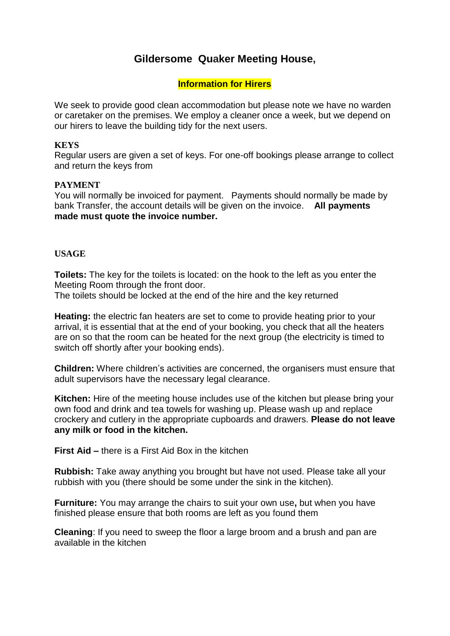# **Gildersome Quaker Meeting House,**

#### **Information for Hirers**

We seek to provide good clean accommodation but please note we have no warden or caretaker on the premises. We employ a cleaner once a week, but we depend on our hirers to leave the building tidy for the next users.

#### **KEYS**

Regular users are given a set of keys. For one-off bookings please arrange to collect and return the keys from

#### **PAYMENT**

You will normally be invoiced for payment. Payments should normally be made by bank Transfer, the account details will be given on the invoice. **All payments made must quote the invoice number.**

#### **USAGE**

**Toilets:** The key for the toilets is located: on the hook to the left as you enter the Meeting Room through the front door.

The toilets should be locked at the end of the hire and the key returned

**Heating:** the electric fan heaters are set to come to provide heating prior to your arrival, it is essential that at the end of your booking, you check that all the heaters are on so that the room can be heated for the next group (the electricity is timed to switch off shortly after your booking ends).

**Children:** Where children's activities are concerned, the organisers must ensure that adult supervisors have the necessary legal clearance.

**Kitchen:** Hire of the meeting house includes use of the kitchen but please bring your own food and drink and tea towels for washing up. Please wash up and replace crockery and cutlery in the appropriate cupboards and drawers. **Please do not leave any milk or food in the kitchen.** 

**First Aid –** there is a First Aid Box in the kitchen

**Rubbish:** Take away anything you brought but have not used. Please take all your rubbish with you (there should be some under the sink in the kitchen).

**Furniture:** You may arrange the chairs to suit your own use**,** but when you have finished please ensure that both rooms are left as you found them

**Cleaning**: If you need to sweep the floor a large broom and a brush and pan are available in the kitchen